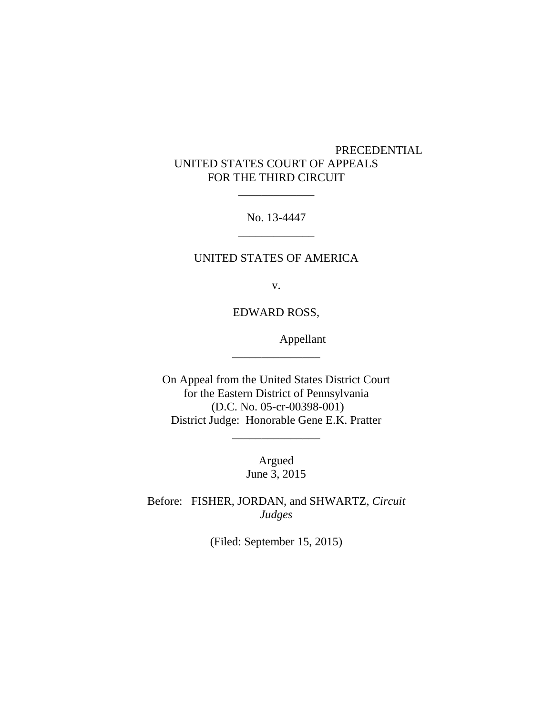# PRECEDENTIAL UNITED STATES COURT OF APPEALS FOR THE THIRD CIRCUIT

 $\overline{\phantom{a}}$   $\overline{\phantom{a}}$   $\overline{\phantom{a}}$   $\overline{\phantom{a}}$   $\overline{\phantom{a}}$   $\overline{\phantom{a}}$   $\overline{\phantom{a}}$   $\overline{\phantom{a}}$   $\overline{\phantom{a}}$   $\overline{\phantom{a}}$   $\overline{\phantom{a}}$   $\overline{\phantom{a}}$   $\overline{\phantom{a}}$   $\overline{\phantom{a}}$   $\overline{\phantom{a}}$   $\overline{\phantom{a}}$   $\overline{\phantom{a}}$   $\overline{\phantom{a}}$   $\overline{\$ 

No. 13-4447 \_\_\_\_\_\_\_\_\_\_\_\_\_

#### UNITED STATES OF AMERICA

v.

EDWARD ROSS,

\_\_\_\_\_\_\_\_\_\_\_\_\_\_\_

Appellant

On Appeal from the United States District Court for the Eastern District of Pennsylvania (D.C. No. 05-cr-00398-001) District Judge: Honorable Gene E.K. Pratter

> Argued June 3, 2015

\_\_\_\_\_\_\_\_\_\_\_\_\_\_\_

Before: FISHER, JORDAN, and SHWARTZ, *Circuit Judges*

(Filed: September 15, 2015)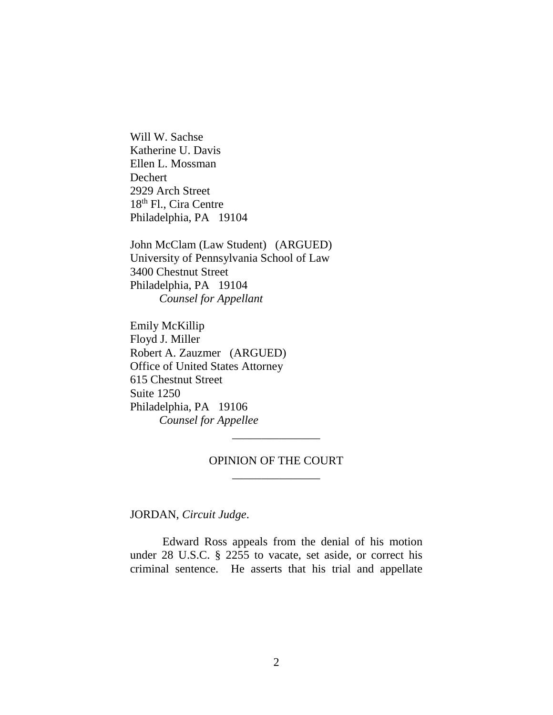Will W. Sachse Katherine U. Davis Ellen L. Mossman Dechert 2929 Arch Street 18<sup>th</sup> Fl., Cira Centre Philadelphia, PA 19104

John McClam (Law Student) (ARGUED) University of Pennsylvania School of Law 3400 Chestnut Street Philadelphia, PA 19104 *Counsel for Appellant*

Emily McKillip Floyd J. Miller Robert A. Zauzmer (ARGUED) Office of United States Attorney 615 Chestnut Street Suite 1250 Philadelphia, PA 19106 *Counsel for Appellee*

### OPINION OF THE COURT \_\_\_\_\_\_\_\_\_\_\_\_\_\_\_

\_\_\_\_\_\_\_\_\_\_\_\_\_\_\_

JORDAN, *Circuit Judge*.

Edward Ross appeals from the denial of his motion under 28 U.S.C. § 2255 to vacate, set aside, or correct his criminal sentence. He asserts that his trial and appellate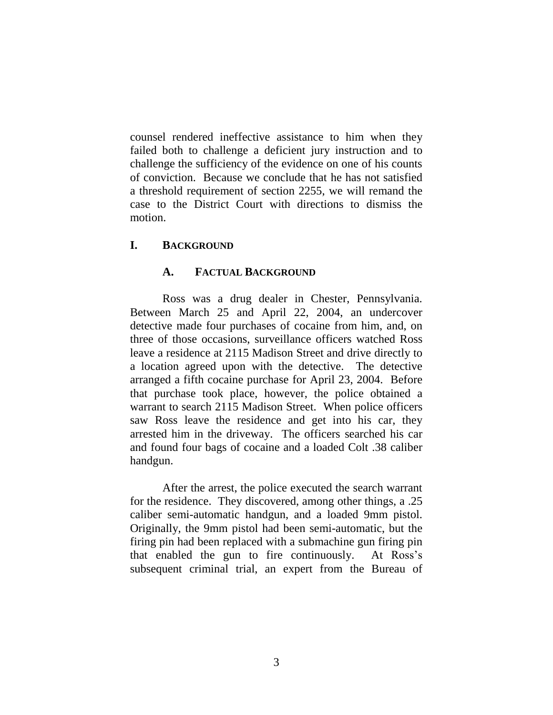counsel rendered ineffective assistance to him when they failed both to challenge a deficient jury instruction and to challenge the sufficiency of the evidence on one of his counts of conviction. Because we conclude that he has not satisfied a threshold requirement of section 2255, we will remand the case to the District Court with directions to dismiss the motion.

### **I. BACKGROUND**

### **A. FACTUAL BACKGROUND**

Ross was a drug dealer in Chester, Pennsylvania. Between March 25 and April 22, 2004, an undercover detective made four purchases of cocaine from him, and, on three of those occasions, surveillance officers watched Ross leave a residence at 2115 Madison Street and drive directly to a location agreed upon with the detective. The detective arranged a fifth cocaine purchase for April 23, 2004. Before that purchase took place, however, the police obtained a warrant to search 2115 Madison Street. When police officers saw Ross leave the residence and get into his car, they arrested him in the driveway. The officers searched his car and found four bags of cocaine and a loaded Colt .38 caliber handgun.

After the arrest, the police executed the search warrant for the residence. They discovered, among other things, a .25 caliber semi-automatic handgun, and a loaded 9mm pistol. Originally, the 9mm pistol had been semi-automatic, but the firing pin had been replaced with a submachine gun firing pin that enabled the gun to fire continuously. At Ross's subsequent criminal trial, an expert from the Bureau of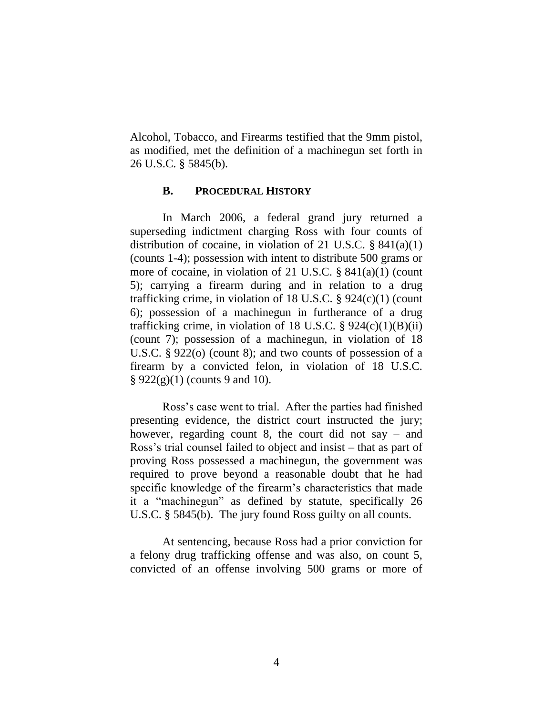Alcohol, Tobacco, and Firearms testified that the 9mm pistol, as modified, met the definition of a machinegun set forth in 26 U.S.C. § 5845(b).

#### **B. PROCEDURAL HISTORY**

In March 2006, a federal grand jury returned a superseding indictment charging Ross with four counts of distribution of cocaine, in violation of 21 U.S.C.  $\S$  841(a)(1) (counts 1-4); possession with intent to distribute 500 grams or more of cocaine, in violation of 21 U.S.C. § 841(a)(1) (count 5); carrying a firearm during and in relation to a drug trafficking crime, in violation of 18 U.S.C. § 924(c)(1) (count 6); possession of a machinegun in furtherance of a drug trafficking crime, in violation of 18 U.S.C.  $\S$  924(c)(1)(B)(ii) (count 7); possession of a machinegun, in violation of 18 U.S.C. § 922(o) (count 8); and two counts of possession of a firearm by a convicted felon, in violation of 18 U.S.C. § 922(g)(1) (counts 9 and 10).

Ross's case went to trial. After the parties had finished presenting evidence, the district court instructed the jury; however, regarding count 8, the court did not say – and Ross's trial counsel failed to object and insist – that as part of proving Ross possessed a machinegun, the government was required to prove beyond a reasonable doubt that he had specific knowledge of the firearm's characteristics that made it a "machinegun" as defined by statute, specifically 26 U.S.C. § 5845(b). The jury found Ross guilty on all counts.

At sentencing, because Ross had a prior conviction for a felony drug trafficking offense and was also, on count 5, convicted of an offense involving 500 grams or more of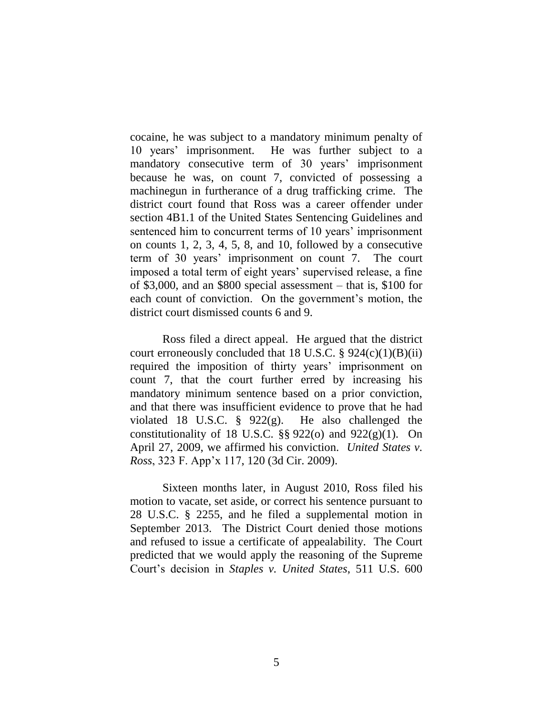cocaine, he was subject to a mandatory minimum penalty of 10 years' imprisonment. He was further subject to a mandatory consecutive term of 30 years' imprisonment because he was, on count 7, convicted of possessing a machinegun in furtherance of a drug trafficking crime. The district court found that Ross was a career offender under section 4B1.1 of the United States Sentencing Guidelines and sentenced him to concurrent terms of 10 years' imprisonment on counts 1, 2, 3, 4, 5, 8, and 10, followed by a consecutive term of 30 years' imprisonment on count 7. The court imposed a total term of eight years' supervised release, a fine of \$3,000, and an \$800 special assessment – that is, \$100 for each count of conviction. On the government's motion, the district court dismissed counts 6 and 9.

Ross filed a direct appeal. He argued that the district court erroneously concluded that 18 U.S.C.  $\S$  924(c)(1)(B)(ii) required the imposition of thirty years' imprisonment on count 7, that the court further erred by increasing his mandatory minimum sentence based on a prior conviction, and that there was insufficient evidence to prove that he had violated 18 U.S.C.  $\frac{8}{922(g)}$ . He also challenged the constitutionality of 18 U.S.C.  $\S$ § 922(o) and 922(g)(1). On April 27, 2009, we affirmed his conviction. *United States v. Ross*, 323 F. App'x 117, 120 (3d Cir. 2009).

Sixteen months later, in August 2010, Ross filed his motion to vacate, set aside, or correct his sentence pursuant to 28 U.S.C. § 2255, and he filed a supplemental motion in September 2013. The District Court denied those motions and refused to issue a certificate of appealability. The Court predicted that we would apply the reasoning of the Supreme Court's decision in *Staples v. United States*, 511 U.S. 600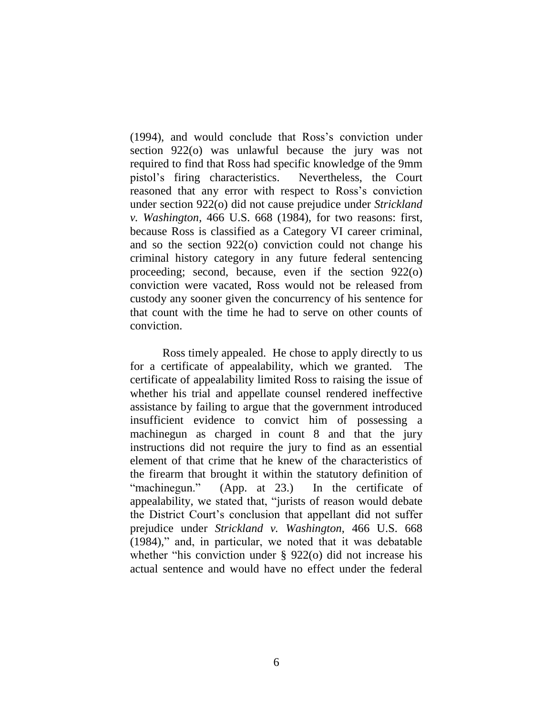(1994), and would conclude that Ross's conviction under section 922(o) was unlawful because the jury was not required to find that Ross had specific knowledge of the 9mm pistol's firing characteristics. Nevertheless, the Court reasoned that any error with respect to Ross's conviction under section 922(o) did not cause prejudice under *Strickland v. Washington*, 466 U.S. 668 (1984), for two reasons: first, because Ross is classified as a Category VI career criminal, and so the section 922(o) conviction could not change his criminal history category in any future federal sentencing proceeding; second, because, even if the section 922(o) conviction were vacated, Ross would not be released from custody any sooner given the concurrency of his sentence for that count with the time he had to serve on other counts of conviction.

Ross timely appealed. He chose to apply directly to us for a certificate of appealability, which we granted. The certificate of appealability limited Ross to raising the issue of whether his trial and appellate counsel rendered ineffective assistance by failing to argue that the government introduced insufficient evidence to convict him of possessing a machinegun as charged in count 8 and that the jury instructions did not require the jury to find as an essential element of that crime that he knew of the characteristics of the firearm that brought it within the statutory definition of "machinegun." (App. at 23.) In the certificate of appealability, we stated that, "jurists of reason would debate the District Court's conclusion that appellant did not suffer prejudice under *Strickland v. Washington*, 466 U.S. 668 (1984)," and, in particular, we noted that it was debatable whether "his conviction under § 922(o) did not increase his actual sentence and would have no effect under the federal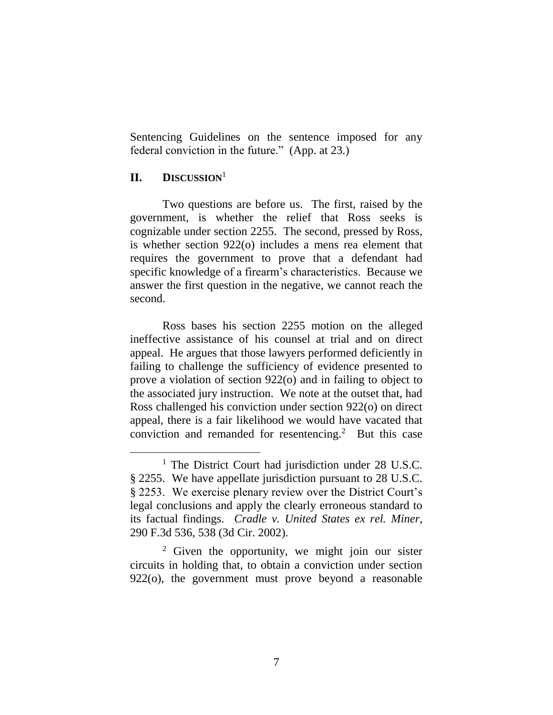Sentencing Guidelines on the sentence imposed for any federal conviction in the future." (App. at 23.)

## **II. DISCUSSION**<sup>1</sup>

 $\overline{a}$ 

Two questions are before us. The first, raised by the government, is whether the relief that Ross seeks is cognizable under section 2255. The second, pressed by Ross, is whether section 922(o) includes a mens rea element that requires the government to prove that a defendant had specific knowledge of a firearm's characteristics. Because we answer the first question in the negative, we cannot reach the second.

Ross bases his section 2255 motion on the alleged ineffective assistance of his counsel at trial and on direct appeal. He argues that those lawyers performed deficiently in failing to challenge the sufficiency of evidence presented to prove a violation of section 922(o) and in failing to object to the associated jury instruction. We note at the outset that, had Ross challenged his conviction under section 922(o) on direct appeal, there is a fair likelihood we would have vacated that conviction and remanded for resentencing.<sup>2</sup> But this case

<sup>2</sup> Given the opportunity, we might join our sister circuits in holding that, to obtain a conviction under section 922(o), the government must prove beyond a reasonable

<sup>&</sup>lt;sup>1</sup> The District Court had jurisdiction under 28 U.S.C. § 2255. We have appellate jurisdiction pursuant to 28 U.S.C. § 2253. We exercise plenary review over the District Court's legal conclusions and apply the clearly erroneous standard to its factual findings. *Cradle v. United States ex rel. Miner*, 290 F.3d 536, 538 (3d Cir. 2002).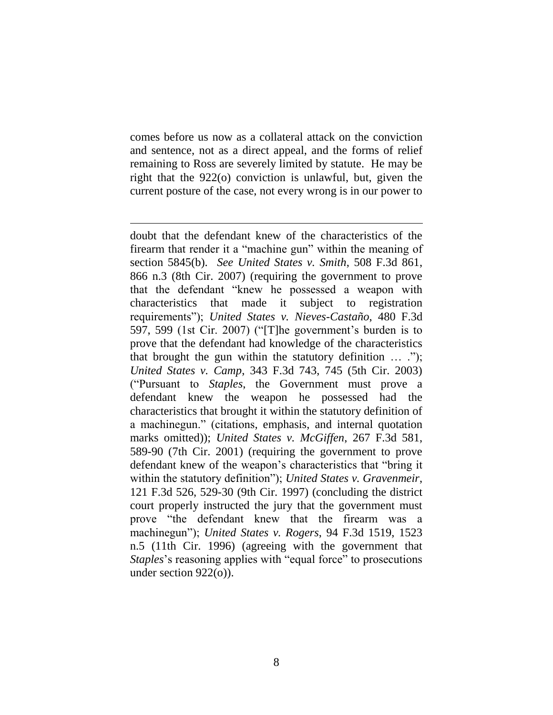comes before us now as a collateral attack on the conviction and sentence, not as a direct appeal, and the forms of relief remaining to Ross are severely limited by statute. He may be right that the 922(o) conviction is unlawful, but, given the current posture of the case, not every wrong is in our power to

 $\overline{a}$ 

doubt that the defendant knew of the characteristics of the firearm that render it a "machine gun" within the meaning of section 5845(b). *See United States v. Smith*, 508 F.3d 861, 866 n.3 (8th Cir. 2007) (requiring the government to prove that the defendant "knew he possessed a weapon with characteristics that made it subject to registration requirements"); *United States v. Nieves-Castaño*, 480 F.3d 597, 599 (1st Cir. 2007) ("[T]he government's burden is to prove that the defendant had knowledge of the characteristics that brought the gun within the statutory definition … ."); *United States v. Camp*, 343 F.3d 743, 745 (5th Cir. 2003) ("Pursuant to *Staples*, the Government must prove a defendant knew the weapon he possessed had the characteristics that brought it within the statutory definition of a machinegun." (citations, emphasis, and internal quotation marks omitted)); *United States v. McGiffen*, 267 F.3d 581, 589-90 (7th Cir. 2001) (requiring the government to prove defendant knew of the weapon's characteristics that "bring it within the statutory definition"); *United States v. Gravenmeir*, 121 F.3d 526, 529-30 (9th Cir. 1997) (concluding the district court properly instructed the jury that the government must prove "the defendant knew that the firearm was a machinegun"); *United States v. Rogers*, 94 F.3d 1519, 1523 n.5 (11th Cir. 1996) (agreeing with the government that *Staples*'s reasoning applies with "equal force" to prosecutions under section 922(o)).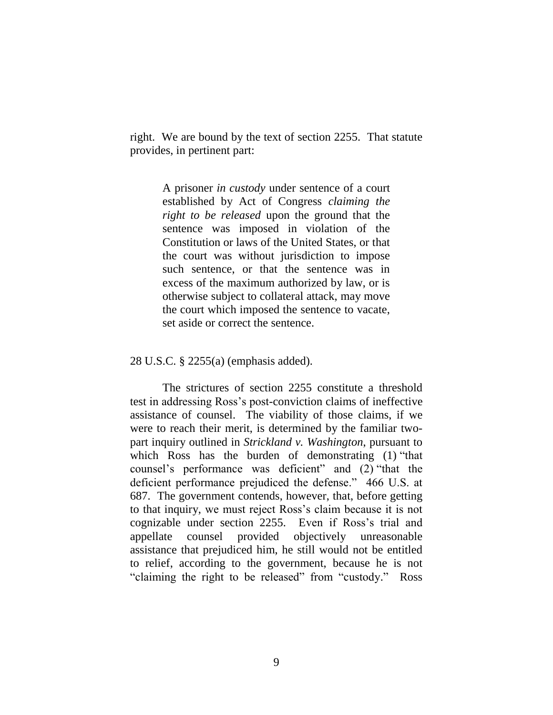right. We are bound by the text of section 2255. That statute provides, in pertinent part:

> A prisoner *in custody* under sentence of a court established by Act of Congress *claiming the right to be released* upon the ground that the sentence was imposed in violation of the Constitution or laws of the United States, or that the court was without jurisdiction to impose such sentence, or that the sentence was in excess of the maximum authorized by law, or is otherwise subject to collateral attack, may move the court which imposed the sentence to vacate, set aside or correct the sentence.

28 U.S.C. § 2255(a) (emphasis added).

The strictures of section 2255 constitute a threshold test in addressing Ross's post-conviction claims of ineffective assistance of counsel. The viability of those claims, if we were to reach their merit, is determined by the familiar twopart inquiry outlined in *Strickland v. Washington*, pursuant to which Ross has the burden of demonstrating (1) "that counsel's performance was deficient" and (2) "that the deficient performance prejudiced the defense." 466 U.S. at 687. The government contends, however, that, before getting to that inquiry, we must reject Ross's claim because it is not cognizable under section 2255. Even if Ross's trial and appellate counsel provided objectively unreasonable assistance that prejudiced him, he still would not be entitled to relief, according to the government, because he is not "claiming the right to be released" from "custody." Ross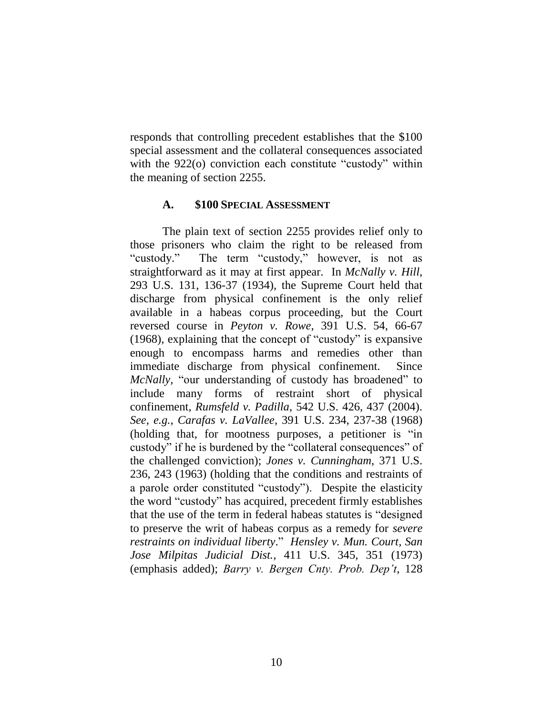responds that controlling precedent establishes that the \$100 special assessment and the collateral consequences associated with the 922(o) conviction each constitute "custody" within the meaning of section 2255.

### **A. \$100 SPECIAL ASSESSMENT**

The plain text of section 2255 provides relief only to those prisoners who claim the right to be released from "custody." The term "custody," however, is not as straightforward as it may at first appear. In *McNally v. Hill*, 293 U.S. 131, 136-37 (1934), the Supreme Court held that discharge from physical confinement is the only relief available in a habeas corpus proceeding, but the Court reversed course in *Peyton v. Rowe*, 391 U.S. 54, 66-67 (1968), explaining that the concept of "custody" is expansive enough to encompass harms and remedies other than immediate discharge from physical confinement. Since *McNally*, "our understanding of custody has broadened" to include many forms of restraint short of physical confinement, *Rumsfeld v. Padilla*, 542 U.S. 426, 437 (2004). *See, e.g.*, *Carafas v. LaVallee*, 391 U.S. 234, 237-38 (1968) (holding that, for mootness purposes, a petitioner is "in custody" if he is burdened by the "collateral consequences" of the challenged conviction); *Jones v. Cunningham*, 371 U.S. 236, 243 (1963) (holding that the conditions and restraints of a parole order constituted "custody"). Despite the elasticity the word "custody" has acquired, precedent firmly establishes that the use of the term in federal habeas statutes is "designed to preserve the writ of habeas corpus as a remedy for *severe restraints on individual liberty*." *Hensley v. Mun. Court, San Jose Milpitas Judicial Dist.*, 411 U.S. 345, 351 (1973) (emphasis added); *Barry v. Bergen Cnty. Prob. Dep't*, 128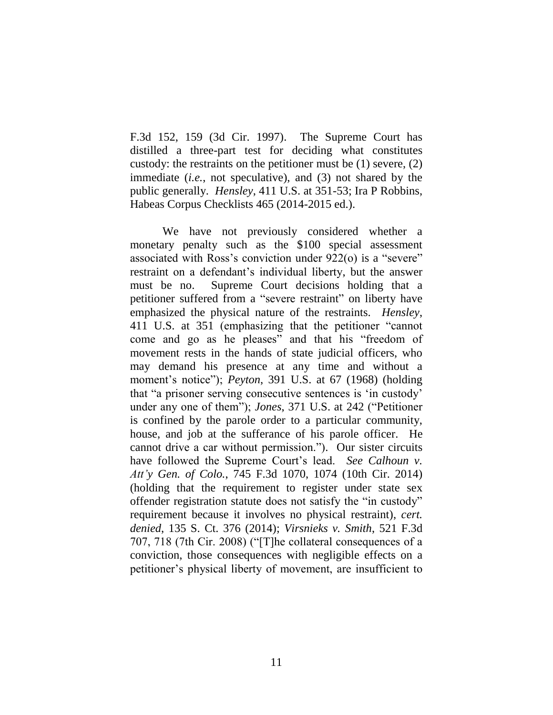F.3d 152, 159 (3d Cir. 1997). The Supreme Court has distilled a three-part test for deciding what constitutes custody: the restraints on the petitioner must be (1) severe, (2) immediate (*i.e.*, not speculative), and (3) not shared by the public generally. *Hensley*, 411 U.S. at 351-53; Ira P Robbins, Habeas Corpus Checklists 465 (2014-2015 ed.).

We have not previously considered whether a monetary penalty such as the \$100 special assessment associated with Ross's conviction under 922(o) is a "severe" restraint on a defendant's individual liberty, but the answer must be no. Supreme Court decisions holding that a petitioner suffered from a "severe restraint" on liberty have emphasized the physical nature of the restraints. *Hensley*, 411 U.S. at 351 (emphasizing that the petitioner "cannot come and go as he pleases" and that his "freedom of movement rests in the hands of state judicial officers, who may demand his presence at any time and without a moment's notice"); *Peyton*, 391 U.S. at 67 (1968) (holding that "a prisoner serving consecutive sentences is 'in custody' under any one of them"); *Jones*, 371 U.S. at 242 ("Petitioner is confined by the parole order to a particular community, house, and job at the sufferance of his parole officer. He cannot drive a car without permission."). Our sister circuits have followed the Supreme Court's lead. *See Calhoun v. Att'y Gen. of Colo.*, 745 F.3d 1070, 1074 (10th Cir. 2014) (holding that the requirement to register under state sex offender registration statute does not satisfy the "in custody" requirement because it involves no physical restraint), *cert. denied*, 135 S. Ct. 376 (2014); *Virsnieks v. Smith*, 521 F.3d 707, 718 (7th Cir. 2008) ("[T]he collateral consequences of a conviction, those consequences with negligible effects on a petitioner's physical liberty of movement, are insufficient to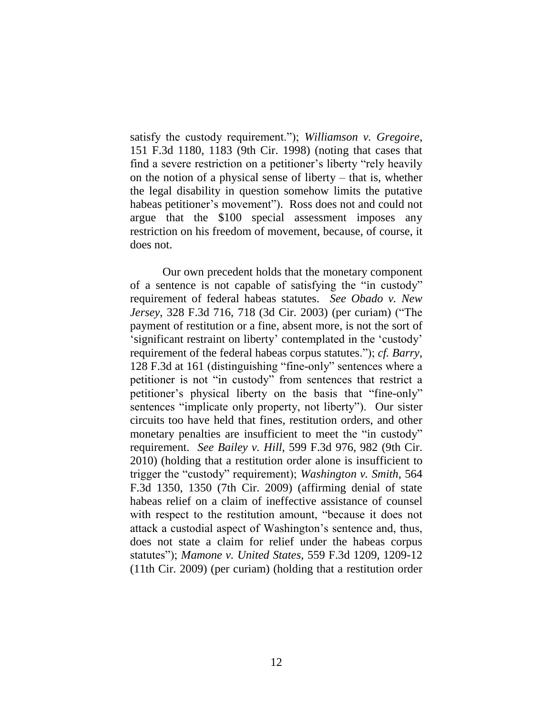satisfy the custody requirement."); *Williamson v. Gregoire*, 151 F.3d 1180, 1183 (9th Cir. 1998) (noting that cases that find a severe restriction on a petitioner's liberty "rely heavily on the notion of a physical sense of liberty – that is, whether the legal disability in question somehow limits the putative habeas petitioner's movement"). Ross does not and could not argue that the \$100 special assessment imposes any restriction on his freedom of movement, because, of course, it does not.

Our own precedent holds that the monetary component of a sentence is not capable of satisfying the "in custody" requirement of federal habeas statutes. *See Obado v. New Jersey*, 328 F.3d 716, 718 (3d Cir. 2003) (per curiam) ("The payment of restitution or a fine, absent more, is not the sort of 'significant restraint on liberty' contemplated in the 'custody' requirement of the federal habeas corpus statutes."); *cf. Barry*, 128 F.3d at 161 (distinguishing "fine-only" sentences where a petitioner is not "in custody" from sentences that restrict a petitioner's physical liberty on the basis that "fine-only" sentences "implicate only property, not liberty"). Our sister circuits too have held that fines, restitution orders, and other monetary penalties are insufficient to meet the "in custody" requirement. *See Bailey v. Hill*, 599 F.3d 976, 982 (9th Cir. 2010) (holding that a restitution order alone is insufficient to trigger the "custody" requirement); *Washington v. Smith*, 564 F.3d 1350, 1350 (7th Cir. 2009) (affirming denial of state habeas relief on a claim of ineffective assistance of counsel with respect to the restitution amount, "because it does not attack a custodial aspect of Washington's sentence and, thus, does not state a claim for relief under the habeas corpus statutes"); *Mamone v. United States*, 559 F.3d 1209, 1209-12 (11th Cir. 2009) (per curiam) (holding that a restitution order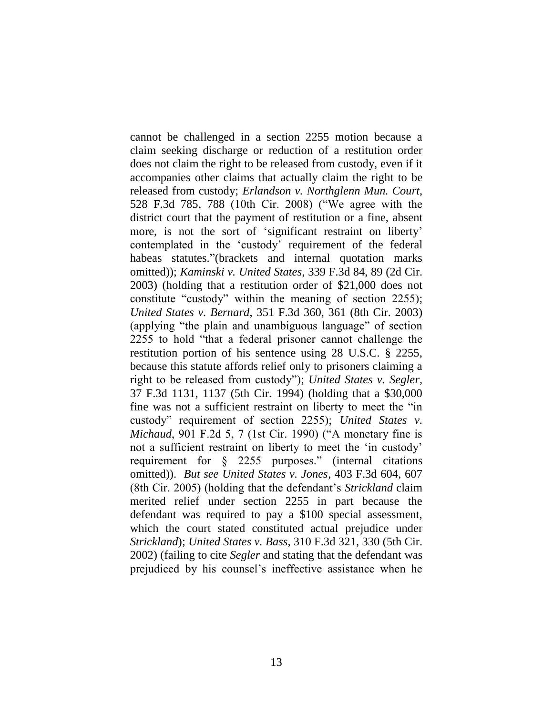cannot be challenged in a section 2255 motion because a claim seeking discharge or reduction of a restitution order does not claim the right to be released from custody, even if it accompanies other claims that actually claim the right to be released from custody; *Erlandson v. Northglenn Mun. Court*, 528 F.3d 785, 788 (10th Cir. 2008) ("We agree with the district court that the payment of restitution or a fine, absent more, is not the sort of 'significant restraint on liberty' contemplated in the 'custody' requirement of the federal habeas statutes."(brackets and internal quotation marks omitted)); *Kaminski v. United States*, 339 F.3d 84, 89 (2d Cir. 2003) (holding that a restitution order of \$21,000 does not constitute "custody" within the meaning of section 2255); *United States v. Bernard*, 351 F.3d 360, 361 (8th Cir. 2003) (applying "the plain and unambiguous language" of section 2255 to hold "that a federal prisoner cannot challenge the restitution portion of his sentence using 28 U.S.C. § 2255, because this statute affords relief only to prisoners claiming a right to be released from custody"); *United States v. Segler*, 37 F.3d 1131, 1137 (5th Cir. 1994) (holding that a \$30,000 fine was not a sufficient restraint on liberty to meet the "in custody" requirement of section 2255); *United States v. Michaud*, 901 F.2d 5, 7 (1st Cir. 1990) ("A monetary fine is not a sufficient restraint on liberty to meet the 'in custody' requirement for § 2255 purposes." (internal citations omitted)). *But see United States v. Jones*, 403 F.3d 604, 607 (8th Cir. 2005) (holding that the defendant's *Strickland* claim merited relief under section 2255 in part because the defendant was required to pay a \$100 special assessment, which the court stated constituted actual prejudice under *Strickland*); *United States v. Bass*, 310 F.3d 321, 330 (5th Cir. 2002) (failing to cite *Segler* and stating that the defendant was prejudiced by his counsel's ineffective assistance when he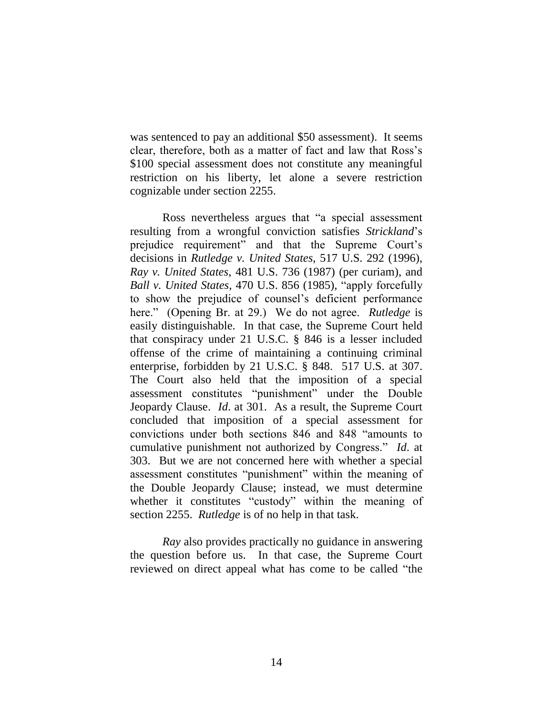was sentenced to pay an additional \$50 assessment). It seems clear, therefore, both as a matter of fact and law that Ross's \$100 special assessment does not constitute any meaningful restriction on his liberty, let alone a severe restriction cognizable under section 2255.

Ross nevertheless argues that "a special assessment resulting from a wrongful conviction satisfies *Strickland*'s prejudice requirement" and that the Supreme Court's decisions in *Rutledge v. United States*, 517 U.S. 292 (1996), *Ray v. United States*, 481 U.S. 736 (1987) (per curiam), and *Ball v. United States*, 470 U.S. 856 (1985), "apply forcefully to show the prejudice of counsel's deficient performance here." (Opening Br. at 29.) We do not agree. *Rutledge* is easily distinguishable. In that case, the Supreme Court held that conspiracy under 21 U.S.C. § 846 is a lesser included offense of the crime of maintaining a continuing criminal enterprise, forbidden by 21 U.S.C. § 848. 517 U.S. at 307. The Court also held that the imposition of a special assessment constitutes "punishment" under the Double Jeopardy Clause. *Id*. at 301. As a result, the Supreme Court concluded that imposition of a special assessment for convictions under both sections 846 and 848 "amounts to cumulative punishment not authorized by Congress." *Id*. at 303. But we are not concerned here with whether a special assessment constitutes "punishment" within the meaning of the Double Jeopardy Clause; instead, we must determine whether it constitutes "custody" within the meaning of section 2255. *Rutledge* is of no help in that task.

*Ray* also provides practically no guidance in answering the question before us. In that case, the Supreme Court reviewed on direct appeal what has come to be called "the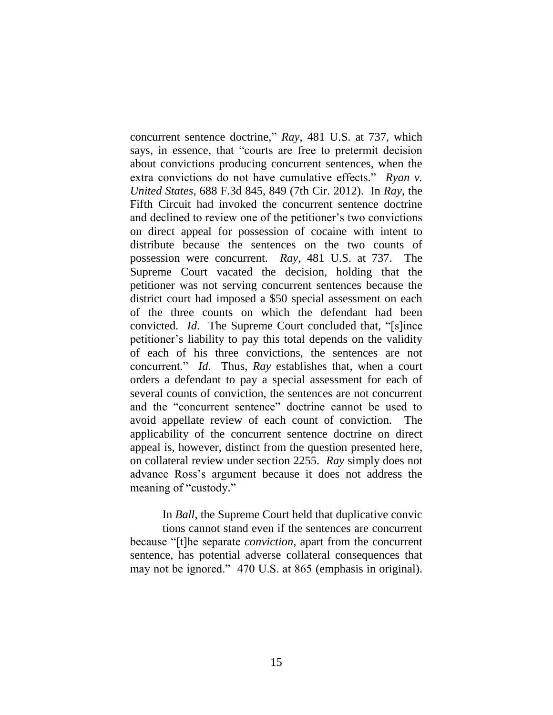concurrent sentence doctrine," *Ray*, 481 U.S. at 737, which says, in essence, that "courts are free to pretermit decision about convictions producing concurrent sentences, when the extra convictions do not have cumulative effects." *Ryan v. United States*, 688 F.3d 845, 849 (7th Cir. 2012). In *Ray*, the Fifth Circuit had invoked the concurrent sentence doctrine and declined to review one of the petitioner's two convictions on direct appeal for possession of cocaine with intent to distribute because the sentences on the two counts of possession were concurrent. *Ray*, 481 U.S. at 737. The Supreme Court vacated the decision, holding that the petitioner was not serving concurrent sentences because the district court had imposed a \$50 special assessment on each of the three counts on which the defendant had been convicted. *Id*. The Supreme Court concluded that, "[s]ince petitioner's liability to pay this total depends on the validity of each of his three convictions, the sentences are not concurrent." *Id*. Thus, *Ray* establishes that, when a court orders a defendant to pay a special assessment for each of several counts of conviction, the sentences are not concurrent and the "concurrent sentence" doctrine cannot be used to avoid appellate review of each count of conviction. The applicability of the concurrent sentence doctrine on direct appeal is, however, distinct from the question presented here, on collateral review under section 2255. *Ray* simply does not advance Ross's argument because it does not address the meaning of "custody."

In *Ball*, the Supreme Court held that duplicative convic tions cannot stand even if the sentences are concurrent because "[t]he separate *conviction*, apart from the concurrent sentence, has potential adverse collateral consequences that may not be ignored." 470 U.S. at 865 (emphasis in original).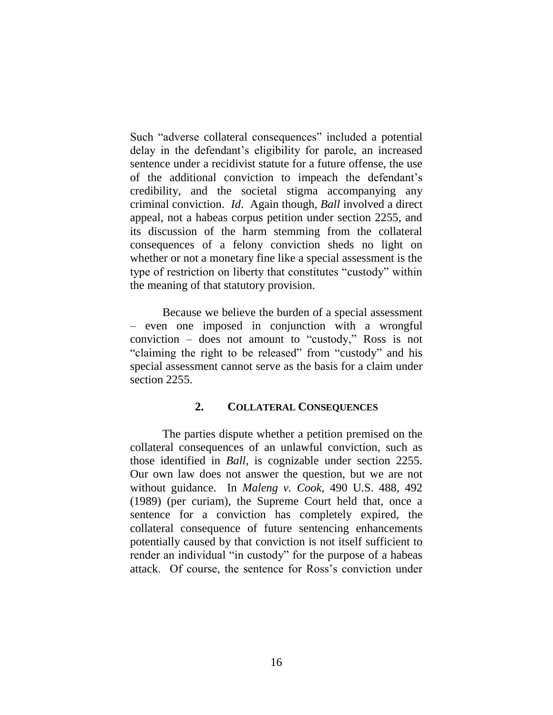Such "adverse collateral consequences" included a potential delay in the defendant's eligibility for parole, an increased sentence under a recidivist statute for a future offense, the use of the additional conviction to impeach the defendant's credibility, and the societal stigma accompanying any criminal conviction. *Id*. Again though, *Ball* involved a direct appeal, not a habeas corpus petition under section 2255, and its discussion of the harm stemming from the collateral consequences of a felony conviction sheds no light on whether or not a monetary fine like a special assessment is the type of restriction on liberty that constitutes "custody" within the meaning of that statutory provision.

Because we believe the burden of a special assessment – even one imposed in conjunction with a wrongful conviction – does not amount to "custody," Ross is not "claiming the right to be released" from "custody" and his special assessment cannot serve as the basis for a claim under section 2255.

#### **2. COLLATERAL CONSEQUENCES**

The parties dispute whether a petition premised on the collateral consequences of an unlawful conviction, such as those identified in *Ball*, is cognizable under section 2255. Our own law does not answer the question, but we are not without guidance. In *Maleng v. Cook*, 490 U.S. 488, 492 (1989) (per curiam), the Supreme Court held that, once a sentence for a conviction has completely expired, the collateral consequence of future sentencing enhancements potentially caused by that conviction is not itself sufficient to render an individual "in custody" for the purpose of a habeas attack. Of course, the sentence for Ross's conviction under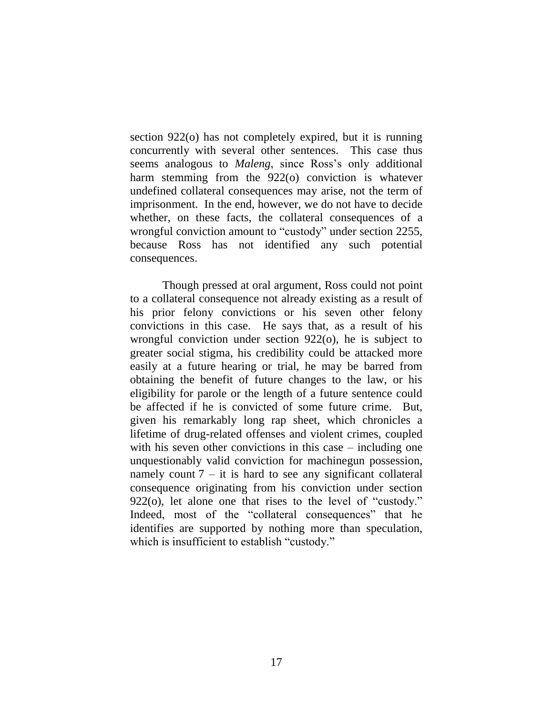section 922(o) has not completely expired, but it is running concurrently with several other sentences. This case thus seems analogous to *Maleng*, since Ross's only additional harm stemming from the 922(o) conviction is whatever undefined collateral consequences may arise, not the term of imprisonment. In the end, however, we do not have to decide whether, on these facts, the collateral consequences of a wrongful conviction amount to "custody" under section 2255, because Ross has not identified any such potential consequences.

Though pressed at oral argument, Ross could not point to a collateral consequence not already existing as a result of his prior felony convictions or his seven other felony convictions in this case. He says that, as a result of his wrongful conviction under section 922(o), he is subject to greater social stigma, his credibility could be attacked more easily at a future hearing or trial, he may be barred from obtaining the benefit of future changes to the law, or his eligibility for parole or the length of a future sentence could be affected if he is convicted of some future crime. But, given his remarkably long rap sheet, which chronicles a lifetime of drug-related offenses and violent crimes, coupled with his seven other convictions in this case – including one unquestionably valid conviction for machinegun possession, namely count  $7 - it$  is hard to see any significant collateral consequence originating from his conviction under section 922(o), let alone one that rises to the level of "custody." Indeed, most of the "collateral consequences" that he identifies are supported by nothing more than speculation, which is insufficient to establish "custody."